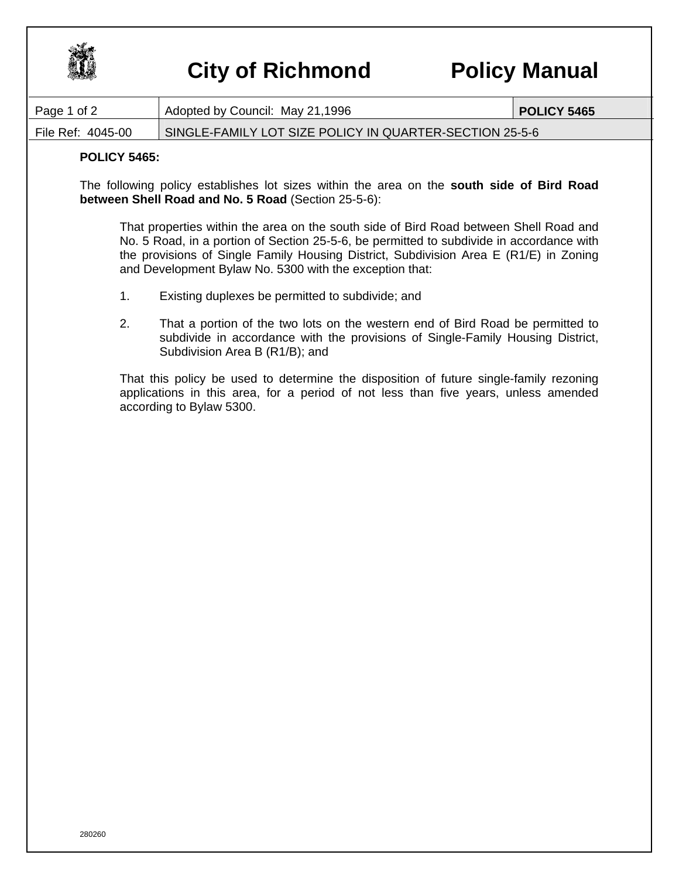

## **City of Richmond Policy Manual**

| Page 1 of 2                                                                                                                                                                                                                                                                                                                           | Adopted by Council: May 21,1996                                                                                                                                                                    | <b>POLICY 5465</b> |
|---------------------------------------------------------------------------------------------------------------------------------------------------------------------------------------------------------------------------------------------------------------------------------------------------------------------------------------|----------------------------------------------------------------------------------------------------------------------------------------------------------------------------------------------------|--------------------|
| File Ref: 4045-00                                                                                                                                                                                                                                                                                                                     | SINGLE-FAMILY LOT SIZE POLICY IN QUARTER-SECTION 25-5-6                                                                                                                                            |                    |
| <b>POLICY 5465:</b>                                                                                                                                                                                                                                                                                                                   |                                                                                                                                                                                                    |                    |
| The following policy establishes lot sizes within the area on the south side of Bird Road<br>between Shell Road and No. 5 Road (Section 25-5-6):                                                                                                                                                                                      |                                                                                                                                                                                                    |                    |
| That properties within the area on the south side of Bird Road between Shell Road and<br>No. 5 Road, in a portion of Section 25-5-6, be permitted to subdivide in accordance with<br>the provisions of Single Family Housing District, Subdivision Area E (R1/E) in Zoning<br>and Development Bylaw No. 5300 with the exception that: |                                                                                                                                                                                                    |                    |
| 1.                                                                                                                                                                                                                                                                                                                                    | Existing duplexes be permitted to subdivide; and                                                                                                                                                   |                    |
| 2.                                                                                                                                                                                                                                                                                                                                    | That a portion of the two lots on the western end of Bird Road be permitted to<br>subdivide in accordance with the provisions of Single-Family Housing District,<br>Subdivision Area B (R1/B); and |                    |
| That this policy be used to determine the disposition of future single-family rezoning<br>applications in this area, for a period of not less than five years, unless amended<br>according to Bylaw 5300.                                                                                                                             |                                                                                                                                                                                                    |                    |